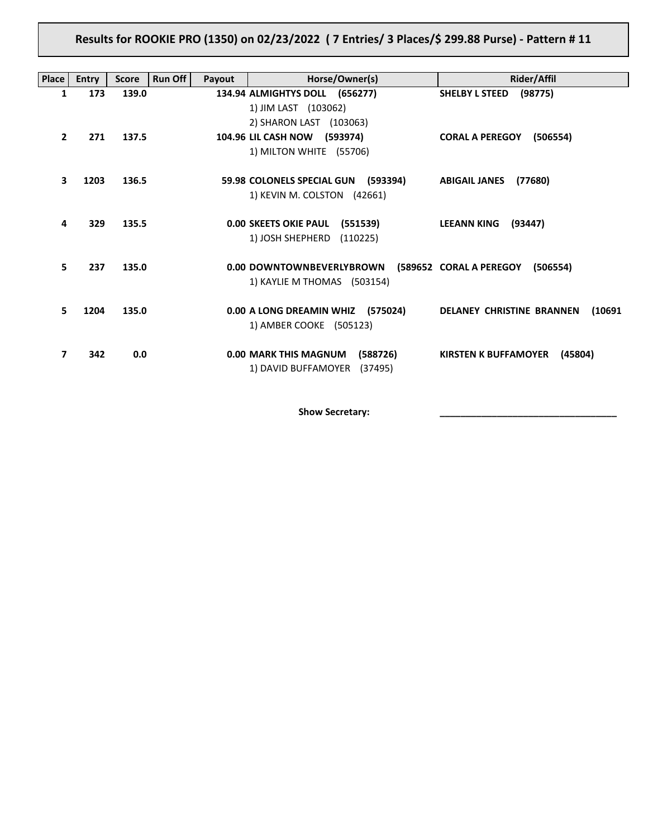**Results for ROOKIE PRO (1350) on 02/23/2022 ( 7 Entries/ 3 Places/\$ 299.88 Purse) - Pattern # 11**

| <b>Place</b> | <b>Entry</b> | <b>Score</b> | <b>Run Off</b><br>Payout | Horse/Owner(s)                           | Rider/Affil                                |
|--------------|--------------|--------------|--------------------------|------------------------------------------|--------------------------------------------|
| 1            | 173          | 139.0        |                          | 134.94 ALMIGHTYS DOLL (656277)           | <b>SHELBY L STEED</b><br>(98775)           |
|              |              |              |                          | 1) JIM LAST (103062)                     |                                            |
|              |              |              |                          | 2) SHARON LAST (103063)                  |                                            |
| $\mathbf{2}$ | 271          | 137.5        |                          | 104.96 LIL CASH NOW (593974)             | <b>CORAL A PEREGOY</b><br>(506554)         |
|              |              |              |                          | 1) MILTON WHITE (55706)                  |                                            |
| 3            | 1203         | 136.5        |                          | 59.98 COLONELS SPECIAL GUN (593394)      | <b>ABIGAIL JANES</b><br>(77680)            |
|              |              |              |                          | 1) KEVIN M. COLSTON (42661)              |                                            |
|              |              |              |                          |                                          |                                            |
| 4            | 329          | 135.5        |                          | <b>0.00 SKEETS OKIE PAUL</b><br>(551539) | <b>LEEANN KING</b><br>(93447)              |
|              |              |              |                          | 1) JOSH SHEPHERD<br>(110225)             |                                            |
|              |              |              |                          |                                          |                                            |
| 5.           | 237          | 135.0        |                          | 0.00 DOWNTOWNBEVERLYBROWN                | (589652 CORAL A PEREGOY<br>(506554)        |
|              |              |              |                          | 1) KAYLIE M THOMAS (503154)              |                                            |
| 5.           | 1204         | 135.0        |                          | 0.00 A LONG DREAMIN WHIZ<br>(575024)     | <b>DELANEY CHRISTINE BRANNEN</b><br>(10691 |
|              |              |              |                          | 1) AMBER COOKE (505123)                  |                                            |
|              |              |              |                          |                                          |                                            |
| 7            | 342          | 0.0          |                          | <b>0.00 MARK THIS MAGNUM</b><br>(588726) | <b>KIRSTEN K BUFFAMOYER</b><br>(45804)     |
|              |              |              |                          | 1) DAVID BUFFAMOYER<br>(37495)           |                                            |
|              |              |              |                          |                                          |                                            |

**Show Secretary: \_\_\_\_\_\_\_\_\_\_\_\_\_\_\_\_\_\_\_\_\_\_\_\_\_\_\_\_\_\_\_\_\_\_**